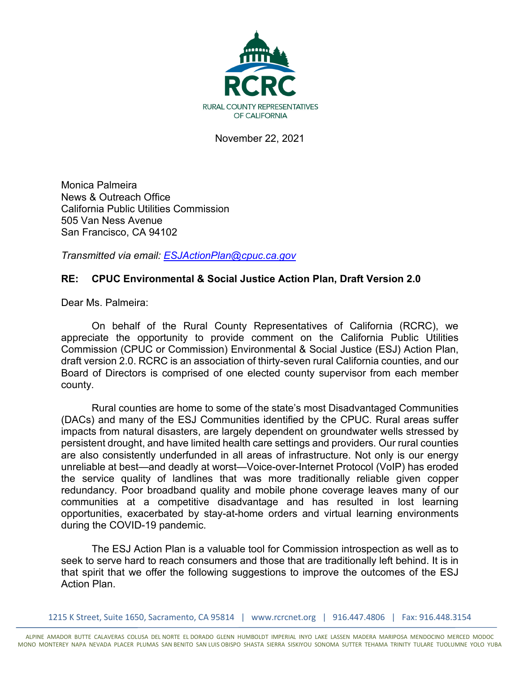

November 22, 2021

Monica Palmeira News & Outreach Office California Public Utilities Commission 505 Van Ness Avenue San Francisco, CA 94102

*Transmitted via email: [ESJActionPlan@cpuc.ca.gov](mailto:ESJActionPlan@cpuc.ca.gov)*

# **RE: CPUC Environmental & Social Justice Action Plan, Draft Version 2.0**

Dear Ms. Palmeira:

On behalf of the Rural County Representatives of California (RCRC), we appreciate the opportunity to provide comment on the California Public Utilities Commission (CPUC or Commission) Environmental & Social Justice (ESJ) Action Plan, draft version 2.0. RCRC is an association of thirty-seven rural California counties, and our Board of Directors is comprised of one elected county supervisor from each member county.

Rural counties are home to some of the state's most Disadvantaged Communities (DACs) and many of the ESJ Communities identified by the CPUC. Rural areas suffer impacts from natural disasters, are largely dependent on groundwater wells stressed by persistent drought, and have limited health care settings and providers. Our rural counties are also consistently underfunded in all areas of infrastructure. Not only is our energy unreliable at best—and deadly at worst—Voice-over-Internet Protocol (VoIP) has eroded the service quality of landlines that was more traditionally reliable given copper redundancy. Poor broadband quality and mobile phone coverage leaves many of our communities at a competitive disadvantage and has resulted in lost learning opportunities, exacerbated by stay-at-home orders and virtual learning environments during the COVID-19 pandemic.

The ESJ Action Plan is a valuable tool for Commission introspection as well as to seek to serve hard to reach consumers and those that are traditionally left behind. It is in that spirit that we offer the following suggestions to improve the outcomes of the ESJ Action Plan.

1215 K Street, Suite 1650, Sacramento, CA 95814 | www.rcrcnet.org | 916.447.4806 | Fax: 916.448.3154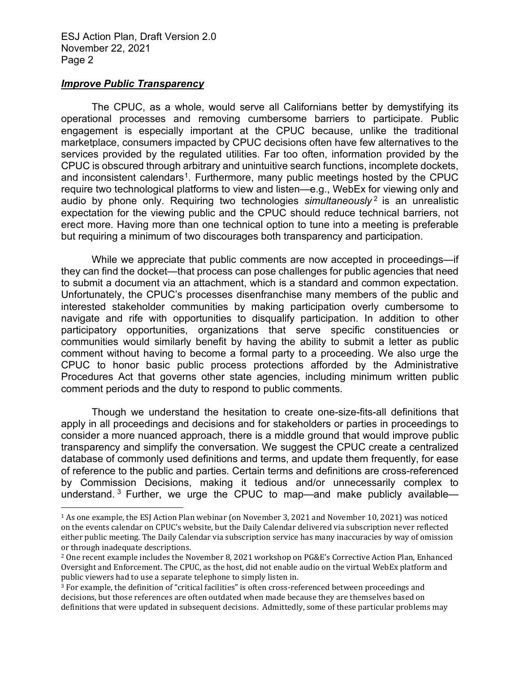#### *Improve Public Transparency*

The CPUC, as a whole, would serve all Californians better by demystifying its operational processes and removing cumbersome barriers to participate. Public engagement is especially important at the CPUC because, unlike the traditional marketplace, consumers impacted by CPUC decisions often have few alternatives to the services provided by the regulated utilities. Far too often, information provided by the CPUC is obscured through arbitrary and unintuitive search functions, incomplete dockets, and inconsistent calendars<sup>1</sup>. Furthermore, many public meetings hosted by the CPUC require two technological platforms to view and listen—e.g., WebEx for viewing only and audio by phone only. Requiring two technologies *simultaneously*<sup>[2](#page-1-1)</sup> is an unrealistic expectation for the viewing public and the CPUC should reduce technical barriers, not erect more. Having more than one technical option to tune into a meeting is preferable but requiring a minimum of two discourages both transparency and participation.

While we appreciate that public comments are now accepted in proceedings—if they can find the docket—that process can pose challenges for public agencies that need to submit a document via an attachment, which is a standard and common expectation. Unfortunately, the CPUC's processes disenfranchise many members of the public and interested stakeholder communities by making participation overly cumbersome to navigate and rife with opportunities to disqualify participation. In addition to other participatory opportunities, organizations that serve specific constituencies or communities would similarly benefit by having the ability to submit a letter as public comment without having to become a formal party to a proceeding. We also urge the CPUC to honor basic public process protections afforded by the Administrative Procedures Act that governs other state agencies, including minimum written public comment periods and the duty to respond to public comments.

Though we understand the hesitation to create one-size-fits-all definitions that apply in all proceedings and decisions and for stakeholders or parties in proceedings to consider a more nuanced approach, there is a middle ground that would improve public transparency and simplify the conversation. We suggest the CPUC create a centralized database of commonly used definitions and terms, and update them frequently, for ease of reference to the public and parties. Certain terms and definitions are cross-referenced by Commission Decisions, making it tedious and/or unnecessarily complex to understand.<sup>[3](#page-1-2)</sup> Further, we urge the CPUC to map—and make publicly available—

<span id="page-1-0"></span><sup>1</sup> As one example, the ESJ Action Plan webinar (on November 3, 2021 and November 10, 2021) was noticed on the events calendar on CPUC's website, but the Daily Calendar delivered via subscription never reflected either public meeting. The Daily Calendar via subscription service has many inaccuracies by way of omission or through inadequate descriptions.

<span id="page-1-1"></span><sup>2</sup> One recent example includes the November 8, 2021 workshop on PG&E's Corrective Action Plan, Enhanced Oversight and Enforcement. The CPUC, as the host, did not enable audio on the virtual WebEx platform and public viewers had to use a separate telephone to simply listen in.

<span id="page-1-2"></span> $3$  For example, the definition of "critical facilities" is often cross-referenced between proceedings and decisions, but those references are often outdated when made because they are themselves based on definitions that were updated in subsequent decisions. Admittedly, some of these particular problems may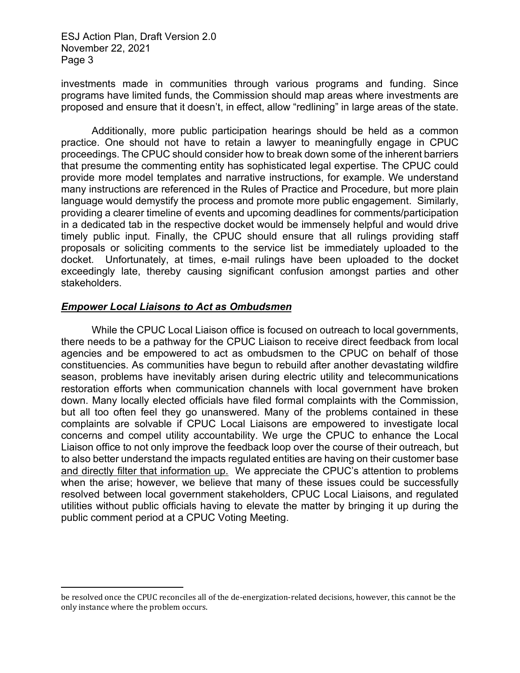investments made in communities through various programs and funding. Since programs have limited funds, the Commission should map areas where investments are proposed and ensure that it doesn't, in effect, allow "redlining" in large areas of the state.

Additionally, more public participation hearings should be held as a common practice. One should not have to retain a lawyer to meaningfully engage in CPUC proceedings. The CPUC should consider how to break down some of the inherent barriers that presume the commenting entity has sophisticated legal expertise. The CPUC could provide more model templates and narrative instructions, for example. We understand many instructions are referenced in the Rules of Practice and Procedure, but more plain language would demystify the process and promote more public engagement. Similarly, providing a clearer timeline of events and upcoming deadlines for comments/participation in a dedicated tab in the respective docket would be immensely helpful and would drive timely public input. Finally, the CPUC should ensure that all rulings providing staff proposals or soliciting comments to the service list be immediately uploaded to the docket. Unfortunately, at times, e-mail rulings have been uploaded to the docket exceedingly late, thereby causing significant confusion amongst parties and other stakeholders.

## *Empower Local Liaisons to Act as Ombudsmen*

While the CPUC Local Liaison office is focused on outreach to local governments, there needs to be a pathway for the CPUC Liaison to receive direct feedback from local agencies and be empowered to act as ombudsmen to the CPUC on behalf of those constituencies. As communities have begun to rebuild after another devastating wildfire season, problems have inevitably arisen during electric utility and telecommunications restoration efforts when communication channels with local government have broken down. Many locally elected officials have filed formal complaints with the Commission, but all too often feel they go unanswered. Many of the problems contained in these complaints are solvable if CPUC Local Liaisons are empowered to investigate local concerns and compel utility accountability. We urge the CPUC to enhance the Local Liaison office to not only improve the feedback loop over the course of their outreach, but to also better understand the impacts regulated entities are having on their customer base and directly filter that information up. We appreciate the CPUC's attention to problems when the arise; however, we believe that many of these issues could be successfully resolved between local government stakeholders, CPUC Local Liaisons, and regulated utilities without public officials having to elevate the matter by bringing it up during the public comment period at a CPUC Voting Meeting.

be resolved once the CPUC reconciles all of the de-energization-related decisions, however, this cannot be the only instance where the problem occurs.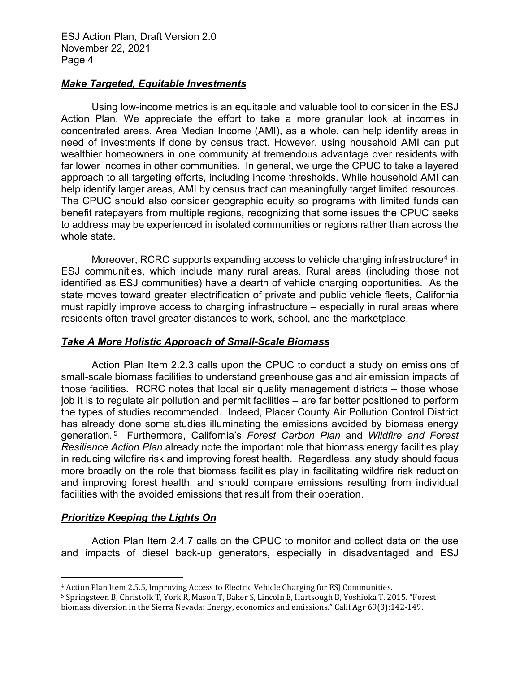#### *Make Targeted, Equitable Investments*

Using low-income metrics is an equitable and valuable tool to consider in the ESJ Action Plan. We appreciate the effort to take a more granular look at incomes in concentrated areas. Area Median Income (AMI), as a whole, can help identify areas in need of investments if done by census tract. However, using household AMI can put wealthier homeowners in one community at tremendous advantage over residents with far lower incomes in other communities. In general, we urge the CPUC to take a layered approach to all targeting efforts, including income thresholds. While household AMI can help identify larger areas, AMI by census tract can meaningfully target limited resources. The CPUC should also consider geographic equity so programs with limited funds can benefit ratepayers from multiple regions, recognizing that some issues the CPUC seeks to address may be experienced in isolated communities or regions rather than across the whole state.

Moreover, RCRC supports expanding access to vehicle charging infrastructure<sup>[4](#page-3-0)</sup> in ESJ communities, which include many rural areas. Rural areas (including those not identified as ESJ communities) have a dearth of vehicle charging opportunities. As the state moves toward greater electrification of private and public vehicle fleets, California must rapidly improve access to charging infrastructure – especially in rural areas where residents often travel greater distances to work, school, and the marketplace.

## *Take A More Holistic Approach of Small-Scale Biomass*

Action Plan Item 2.2.3 calls upon the CPUC to conduct a study on emissions of small-scale biomass facilities to understand greenhouse gas and air emission impacts of those facilities. RCRC notes that local air quality management districts – those whose job it is to regulate air pollution and permit facilities – are far better positioned to perform the types of studies recommended. Indeed, Placer County Air Pollution Control District has already done some studies illuminating the emissions avoided by biomass energy generation. [5](#page-3-1) Furthermore, California's *Forest Carbon Plan* and *Wildfire and Forest Resilience Action Plan* already note the important role that biomass energy facilities play in reducing wildfire risk and improving forest health. Regardless, any study should focus more broadly on the role that biomass facilities play in facilitating wildfire risk reduction and improving forest health, and should compare emissions resulting from individual facilities with the avoided emissions that result from their operation.

# *Prioritize Keeping the Lights On*

Action Plan Item 2.4.7 calls on the CPUC to monitor and collect data on the use and impacts of diesel back-up generators, especially in disadvantaged and ESJ

<span id="page-3-0"></span><sup>4</sup> Action Plan Item 2.5.5, Improving Access to Electric Vehicle Charging for ESJ Communities.

<span id="page-3-1"></span><sup>5</sup> Springsteen B, Christofk T, York R, Mason T, Baker S, Lincoln E, Hartsough B, Yoshioka T. 2015. "Forest biomass diversion in the Sierra Nevada: Energy, economics and emissions." Calif Agr 69(3):142-149.